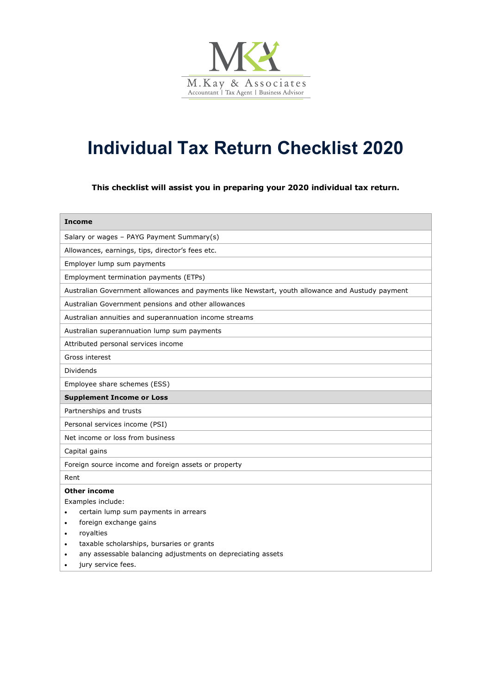

# **Individual Tax Return Checklist 2020**

**This checklist will assist you in preparing your 2020 individual tax return.**

| <b>Income</b>                                                                                    |
|--------------------------------------------------------------------------------------------------|
| Salary or wages - PAYG Payment Summary(s)                                                        |
| Allowances, earnings, tips, director's fees etc.                                                 |
| Employer lump sum payments                                                                       |
| Employment termination payments (ETPs)                                                           |
| Australian Government allowances and payments like Newstart, youth allowance and Austudy payment |
| Australian Government pensions and other allowances                                              |
| Australian annuities and superannuation income streams                                           |
| Australian superannuation lump sum payments                                                      |
| Attributed personal services income                                                              |
| Gross interest                                                                                   |
| <b>Dividends</b>                                                                                 |
| Employee share schemes (ESS)                                                                     |
| <b>Supplement Income or Loss</b>                                                                 |
| Partnerships and trusts                                                                          |
| Personal services income (PSI)                                                                   |
| Net income or loss from business                                                                 |
| Capital gains                                                                                    |
| Foreign source income and foreign assets or property                                             |
| Rent                                                                                             |
| <b>Other income</b>                                                                              |
| Examples include:                                                                                |
| certain lump sum payments in arrears                                                             |
| foreign exchange gains<br>$\bullet$                                                              |
| royalties<br>$\bullet$                                                                           |
| taxable scholarships, bursaries or grants                                                        |
| any assessable balancing adjustments on depreciating assets                                      |
| jury service fees.                                                                               |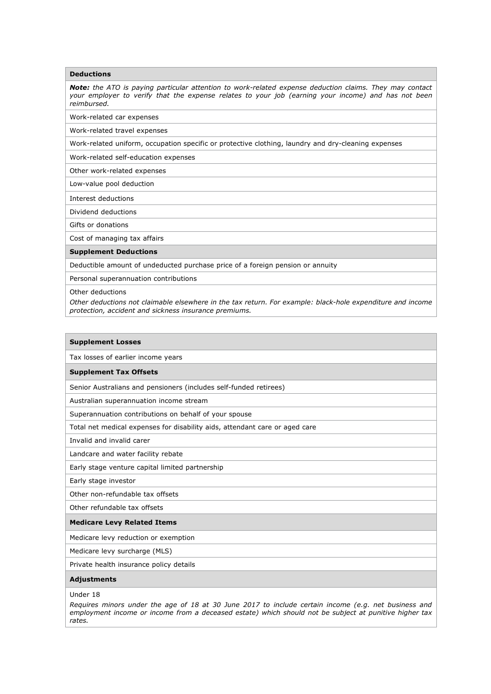## **Deductions**

*Note: the ATO is paying particular attention to work-related expense deduction claims. They may contact your employer to verify that the expense relates to your job (earning your income) and has not been reimbursed.*

Work-related car expenses

Work-related travel expenses

Work-related uniform, occupation specific or protective clothing, laundry and dry-cleaning expenses

Work-related self-education expenses

Other work-related expenses

Low-value pool deduction

Interest deductions

Dividend deductions

Gifts or donations

Cost of managing tax affairs

#### **Supplement Deductions**

Deductible amount of undeducted purchase price of a foreign pension or annuity

Personal superannuation contributions

Other deductions

*Other deductions not claimable elsewhere in the tax return. For example: black-hole expenditure and income protection, accident and sickness insurance premiums.*

#### **Supplement Losses**

Tax losses of earlier income years

### **Supplement Tax Offsets**

Senior Australians and pensioners (includes self-funded retirees)

Australian superannuation income stream

Superannuation contributions on behalf of your spouse

Total net medical expenses for disability aids, attendant care or aged care

Invalid and invalid carer

Landcare and water facility rebate

Early stage venture capital limited partnership

Early stage investor

Other non-refundable tax offsets

Other refundable tax offsets

## **Medicare Levy Related Items**

Medicare levy reduction or exemption

Medicare levy surcharge (MLS)

Private health insurance policy details

### **Adjustments**

Under 18

*Requires minors under the age of 18 at 30 June 2017 to include certain income (e.g. net business and employment income or income from a deceased estate) which should not be subject at punitive higher tax rates.*